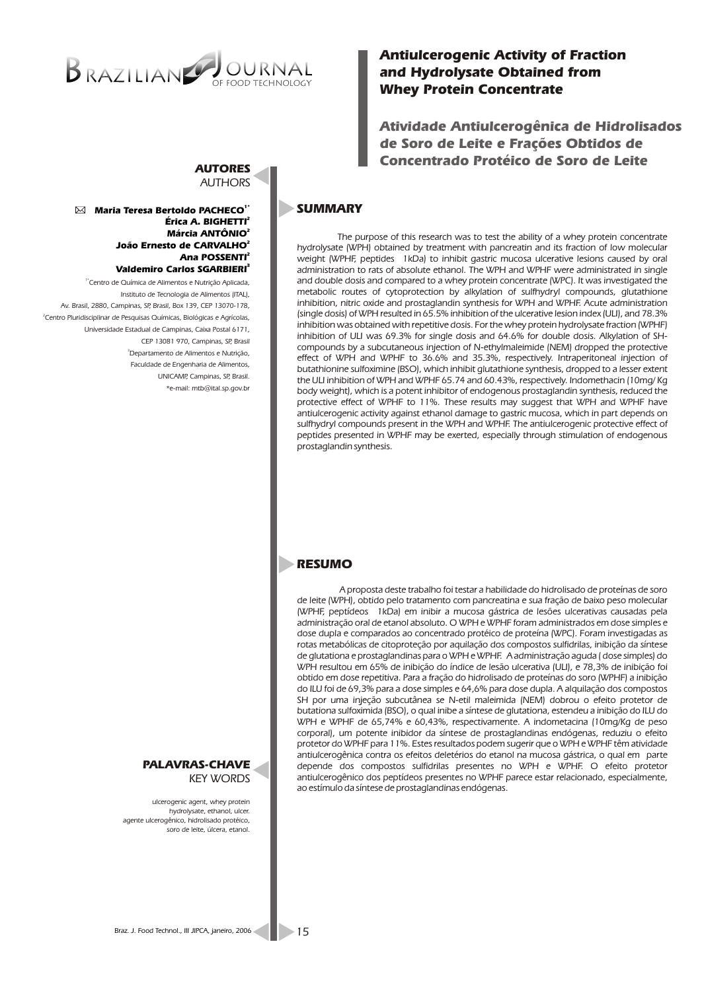# BRAZILIANO OF FOOD TECHNOLOGY

# *Antiulcerogenic Activity of Fraction and Hydrolysate Obtained from Whey Protein Concentrate*

*Atividade Antiulcerogênica de Hidrolisados de Soro de Leite e Frações Obtidos de Concentrado Protéico de Soro de Leite*

# *SUMMARY*

*The purpose of this research was to test the ability of a whey protein concentrate hydrolysate (WPH) obtained by treatment with pancreatin and its fraction of low molecular weight (WPHF, peptides 1kDa) to inhibit gastric mucosa ulcerative lesions caused by oral administration to rats of absolute ethanol. The WPH and WPHF were administrated in single and double dosis and compared to a whey protein concentrate (WPC). It was investigated the metabolic routes of cytoprotection by alkylation of sulfhydryl compounds, glutathione inhibition, nitric oxide and prostaglandin synthesis for WPH and WPHF. Acute administration (single dosis) of WPH resulted in 65.5% inhibition of the ulcerative lesion index (ULI), and 78.3% inhibition was obtained with repetitive dosis. For the whey protein hydrolysate fraction (WPHF) inhibition of ULI was 69.3% for single dosis and 64.6% for double dosis. Alkylation of SHcompounds by a subcutaneous injection of N-ethylmaleimide (NEM) dropped the protective effect of WPH and WPHF to 36.6% and 35.3%, respectively. Intraperitoneal injection of butathionine sulfoximine (BSO), which inhibit glutathione synthesis, dropped to a lesser extent the ULI inhibition of WPH and WPHF 65.74 and 60.43%, respectively. Indomethacin (10mg/ Kg body weight), which is a potent inhibitor of endogenous prostaglandin synthesis, reduced the protective effect of WPHF to 11%. These results may suggest that WPH and WPHF have antiulcerogenic activity against ethanol damage to gastric mucosa, which in part depends on sulfhydryl compounds present in the WPH and WPHF. The antiulcerogenic protective effect of peptides presented in WPHF may be exerted, especially through stimulation of endogenous prostaglandin synthesis.*

# *RESUMO*

*15*

*A proposta deste trabalho foi testar a habilidade do hidrolisado de proteínas de soro de leite (WPH), obtido pelo tratamento com pancreatina e sua fração de baixo peso molecular (WPHF, peptídeos 1kDa) em inibir a mucosa gástrica de lesões ulcerativas causadas pela administração oral de etanol absoluto. O WPH e WPHF foram administrados em dose simples e dose dupla e comparados ao concentrado protéico de proteína (WPC). Foram investigadas as rotas metabólicas de citoproteção por aquilação dos compostos sulfidrilas, inibição da síntese de glutationa e prostaglandinas para o WPH e WPHF. A administração aguda ( dose simples) do WPH resultou em 65% de inibição do índice de lesão ulcerativa (ULI), e 78,3% de inibição foi obtido em dose repetitiva. Para a fração do hidrolisado de proteínas do soro (WPHF) a inibição do ILU foi de 69,3% para a dose simples e 64,6% para dose dupla. A alquilação dos compostos SH por uma injeção subcutânea se N-etil maleimida (NEM) dobrou o efeito protetor de butationa sulfoximida (BSO), o qual inibe a síntese de glutationa, estendeu a inibição do ILU do WPH e WPHF de 65,74% e 60,43%, respectivamente. A indometacina (10mg/Kg de peso corporal), um potente inibidor da síntese de prostaglandinas endógenas, reduziu o efeito protetor do WPHF para 11%. Estes resultados podem sugerir que o WPH e WPHF têm atividade antiulcerogênica contra os efeitos deletérios do etanol na mucosa gástrica, o qual em parte depende dos compostos sulfidrilas presentes no WPH e WPHF. O efeito protetor antiulcerogênico dos peptídeos presentes no WPHF parece estar relacionado, especialmente, ao estímulo da síntese de prostaglandinas endógenas.* 

*AUTORES AUTHORS*

#### *1\* Maria Teresa Bertoldo PACHECO 2 Érica A. BIGHETTI <sup>2</sup> Márcia ANTÔNIO 2 João Ernesto de CARVALHO* Ana POSSENTI<sup>2</sup>

# *<sup>3</sup> Valdemiro Carlos SGARBIERI*

*1\*Centro de Química de Alimentos e Nutrição Aplicada, Instituto de Tecnologia de Alimentos (ITAL), Av. Brasil, 2880, Campinas, SP, Brasil, Box 139, CEP 13070-178, 2 Centro Pluridisciplinar de Pesquisas Químicas, Biológicas e Agrícolas, Universidade Estadual de Campinas, Caixa Postal 6171, CEP 13081 970, Campinas, SP, Brasil <sup>3</sup>Departamento de Alimentos e Nutrição, Faculdade de Engenharia de Alimentos, UNICAMP, Campinas, SP, Brasil.* 

*\*e-mail: mtb@ital.sp.gov.br*



*ulcerogenic agent, whey protein hydrolysate, ethanol, ulcer. agente ulcerogênico, hidrolisado protéico, soro de leite, úlcera, etanol.*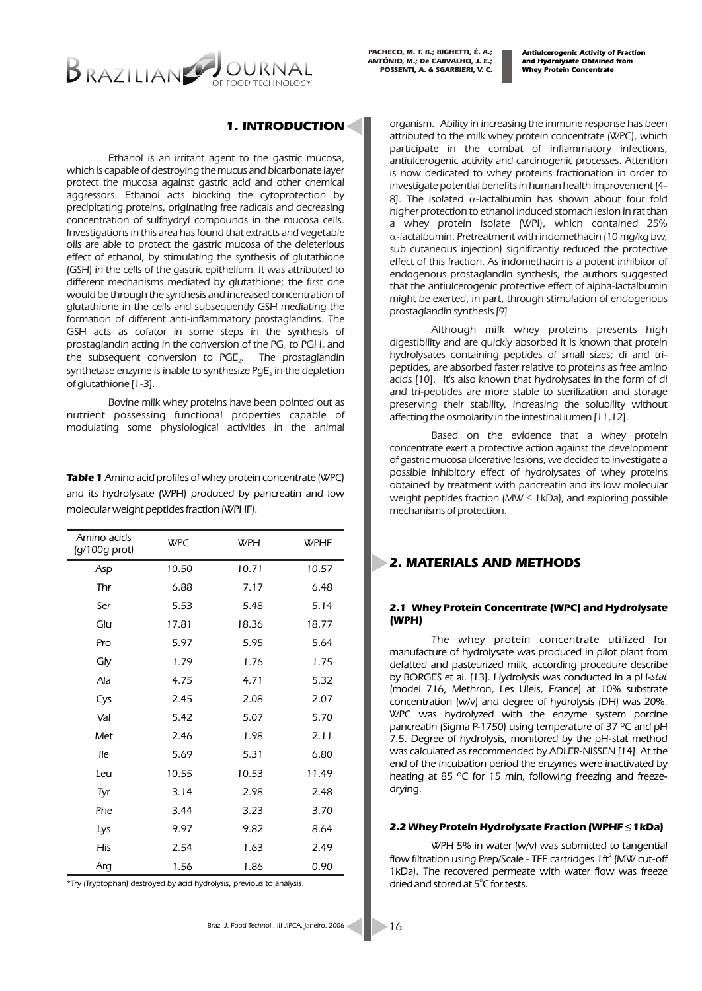*Antiulcerogenic Activity of Fraction and Hydrolysate Obtained from Whey Protein Concentrate*



# *1. INTRODUCTION*

*Ethanol is an irritant agent to the gastric mucosa, which is capable of destroying the mucus and bicarbonate layer protect the mucosa against gastric acid and other chemical aggressors. Ethanol acts blocking the cytoprotection by precipitating proteins, originating free radicals and decreasing concentration of sulfhydryl compounds in the mucosa cells. Investigations in this area has found that extracts and vegetable oils are able to protect the gastric mucosa of the deleterious effect of ethanol, by stimulating the synthesis of glutathione (GSH) in the cells of the gastric epithelium. It was attributed to different mechanisms mediated by glutathione; the first one would be through the synthesis and increased concentration of glutathione in the cells and subsequently GSH mediating the formation of different anti-inflammatory prostaglandins. The GSH acts as cofator in some steps in the synthesis of prostaglandin acting in the conversion of the PG<sub>2</sub> to PGH<sub>2</sub> and the subsequent conversion to PGE . The prostaglandin <sup>2</sup> synthetase enzyme is inable to synthesize PgE in the depletion <sup>2</sup> of glutathione [1-3].*

*Bovine milk whey proteins have been pointed out as nutrient possessing functional properties capable of modulating some physiological activities in the animal* 

*Table 1 Amino acid profiles of whey protein concentrate (WPC) and its hydrolysate (WPH) produced by pancreatin and low molecular weight peptides fraction (WPHF).*

| Amino acids<br>(g/100g prot) | <b>WPC</b> | <b>WPH</b> | <b>WPHF</b> |
|------------------------------|------------|------------|-------------|
| Asp                          | 10.50      | 10.71      | 10.57       |
| Thr                          | 6.88       | 7.17       | 6.48        |
| Ser                          | 5.53       | 5.48       | 5.14        |
| Glu                          | 17.81      | 18.36      | 18.77       |
| Pro                          | 5.97       | 5.95       | 5.64        |
| Gly                          | 1.79       | 1.76       | 1.75        |
| Ala                          | 4.75       | 4.71       | 5.32        |
| Cys                          | 2.45       | 2.08       | 2.07        |
| Val                          | 5.42       | 5.07       | 5.70        |
| Met                          | 2.46       | 1.98       | 2.11        |
| lle                          | 5.69       | 5.31       | 6.80        |
| Leu                          | 10.55      | 10.53      | 11.49       |
| Tyr                          | 3.14       | 2.98       | 2.48        |
| Phe                          | 3.44       | 3.23       | 3.70        |
| Lys                          | 9.97       | 9.82       | 8.64        |
| His                          | 2.54       | 1.63       | 2.49        |
| Arg                          | 1.56       | 1.86       | 0.90        |

*\*Try (Tryptophan) destroyed by acid hydrolysis, previous to analysis.*

*organism. Ability in increasing the immune response has been attributed to the milk whey protein concentrate (WPC), which participate in the combat of inflammatory infections, antiulcerogenic activity and carcinogenic processes. Attention is now dedicated to whey proteins fractionation in order to investigate potential benefits in human health improvement [4- 8]. The isolated -lactalbumin has shown about four fold higher protection to ethanol induced stomach lesion in rat than a whey protein isolate (WPI), which contained 25%* 

*-lactalbumin. Pretreatment with indomethacin (10 mg/kg bw, sub cutaneous injection) significantly reduced the protective effect of this fraction. As indomethacin is a potent inhibitor of endogenous prostaglandin synthesis, the authors suggested that the antiulcerogenic protective effect of alpha-lactalbumin might be exerted, in part, through stimulation of endogenous prostaglandin synthesis [9]* 

*Although milk whey proteins presents high digestibility and are quickly absorbed it is known that protein hydrolysates containing peptides of small sizes; di and tripeptides, are absorbed faster relative to proteins as free amino acids [10]. It's also known that hydrolysates in the form of di and tri-peptides are more stable to sterilization and storage preserving their stability, increasing the solubility without affecting the osmolarity in the intestinal lumen [11,12].* 

*Based on the evidence that a whey protein concentrate exert a protective action against the development of gastric mucosa ulcerative lesions, we decided to investigate a possible inhibitory effect of hydrolysates of whey proteins obtained by treatment with pancreatin and its low molecular weight peptides fraction (MW 1kDa), and exploring possible mechanisms of protection.* 

# *2. MATERIALS AND METHODS*

#### *2.1 Whey Protein Concentrate (WPC) and Hydrolysate (WPH)*

*The whey protein concentrate utilized for manufacture of hydrolysate was produced in pilot plant from defatted and pasteurized milk, according procedure describe by BORGES et al. [13]. Hydrolysis was conducted in a pH- stat stat (model 716, Methron, Les Uleis, France) at 10% substrate concentration (w/v) and degree of hydrolysis (DH) was 20%. WPC was hydrolyzed with the enzyme system porcine pancreatin (Sigma P-1750) using temperature of 37 ºC and pH 7.5. Degree of hydrolysis, monitored by the pH-stat method was calculated as recommended by ADLER-NISSEN [14]. At the end of the incubation period the enzymes were inactivated by heating at 85 ºC for 15 min, following freezing and freezedrying.*

#### *2.2 Whey Protein Hydrolysate Fraction (WPHF 1kDa)* ≤

*WPH 5% in water (w/v) was submitted to tangential 2 flow filtration using Prep/Scale - TFF cartridges 1ft (MW cut-off 1kDa). The recovered permeate with water flow was freeze 0 dried and stored at 5 C for tests.*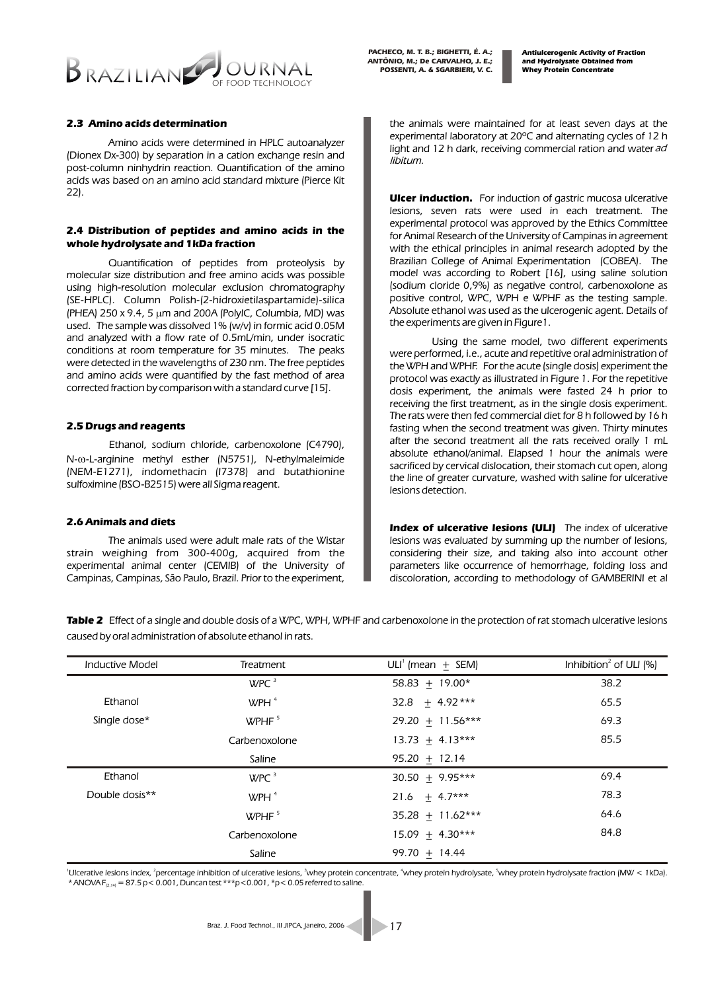

#### *2.3 Amino acids determination*

*Amino acids were determined in HPLC autoanalyzer (Dionex Dx-300) by separation in a cation exchange resin and post-column ninhydrin reaction. Quantification of the amino acids was based on an amino acid standard mixture (Pierce Kit 22).*

#### *2.4 Distribution of peptides and amino acids in the whole hydrolysate and 1kDa fraction*

*Quantification of peptides from proteolysis by molecular size distribution and free amino acids was possible using high-resolution molecular exclusion chromatography (SE-HPLC). Column Polish-(2-hidroxietilaspartamide)-silica (PHEA) 250 x 9.4, 5 m and 200A (PolylC, Columbia, MD) was used. The sample was dissolved 1% (w/v) in formic acid 0.05M and analyzed with a flow rate of 0.5mL/min, under isocratic conditions at room temperature for 35 minutes. The peaks were detected in the wavelengths of 230 nm. The free peptides and amino acids were quantified by the fast method of area corrected fraction by comparison with a standard curve [15].* 

#### *2.5 Drugs and reagents*

*Ethanol, sodium chloride, carbenoxolone (C4790), N- -L-arginine methyl esther (N5751), N-ethylmaleimide (NEM-E1271), indomethacin (I7378) and butathionine sulfoximine (BSO-B2515) were all Sigma reagent.*

#### *2.6 Animals and diets*

*The animals used were adult male rats of the Wistar strain weighing from 300-400g, acquired from the experimental animal center (CEMIB) of the University of Campinas, Campinas, São Paulo, Brazil. Prior to the experiment,* 

*ANTÔNIO, M.; De CARVALHO, J. E.; POSSENTI, A. & SGARBIERI, V. C.*  *Antiulcerogenic Activity of Fraction and Hydrolysate Obtained from Whey Protein Concentrate*

*the animals were maintained for at least seven days at the experimental laboratory at 20ºC and alternating cycles of 12 h*  light and 12 h dark, receiving commercial ration and water ad *libitum. PACHECO, M. T. B.; BIGHETTI, E. A.;*<br> *ANTÔNIO, M.; De CARVALHO, J. E.;*<br> *POSSENTI, A. & SGARBIERI, V. C.*<br> *POSSENTI, A. & SGARBIERI, V. C.*<br> *POSSENTI, A. & SGARBIERI, V. C.*<br> *IDDERERIERIERIERI, POSSENTI, A. A. EXPERI* 

*Ulcer induction. For induction of gastric mucosa ulcerative lesions, seven rats were used in each treatment. The experimental protocol was approved by the Ethics Committee for Animal Research of the University of Campinas in agreement*  with the ethical principles in animal research adopted by the *Brazilian College of Animal Experimentation (COBEA). The model was according to Robert [16], using saline solution (sodium cloride 0,9%) as negative control, carbenoxolone as positive control, WPC, WPH e WPHF as the testing sample. Absolute ethanol was used as the ulcerogenic agent. Details of the experiments are given in Figure1.* 

*Using the same model, two different experiments were performed, i.e., acute and repetitive oral administration of the WPH and WPHF. For the acute (single dosis) experiment the protocol was exactly as illustrated in Figure 1. For the repetitive dosis experiment, the animals were fasted 24 h prior to receiving the first treatment, as in the single dosis experiment. The rats were then fed commercial diet for 8 h followed by 16 h fasting when the second treatment was given. Thirty minutes after the second treatment all the rats received orally 1 mL absolute ethanol/animal. Elapsed 1 hour the animals were sacrificed by cervical dislocation, their stomach cut open, along the line of greater curvature, washed with saline for ulcerative lesions detection.* 

*Index of ulcerative lesions (ULI) The index of ulcerative lesions was evaluated by summing up the number of lesions, considering their size, and taking also into account other parameters like occurrence of hemorrhage, folding loss and discoloration, according to methodology of GAMBERINI et al* 

*Table 2 Effect of a single and double dosis of a WPC, WPH, WPHF and carbenoxolone in the protection of rat stomach ulcerative lesions caused by oral administration of absolute ethanol in rats.*

| Inductive Model | <b>Treatment</b>  | ULI <sup>'</sup> (mean + SEM) | Inhibition <sup>2</sup> of ULI $(%)$ |
|-----------------|-------------------|-------------------------------|--------------------------------------|
|                 | $WPC^3$           | $58.83 + 19.00*$              | 38.2                                 |
| Ethanol         | WPH <sup>4</sup>  | 32.8 $+$ 4.92***              | 65.5                                 |
| Single dose*    | WPHF <sup>5</sup> | 29.20 + 11.56***              | 69.3                                 |
|                 | Carbenoxolone     | $13.73 + 4.13***$             | 85.5                                 |
|                 | Saline            | $95.20 + 12.14$               |                                      |
| Ethanol         | WPC <sup>3</sup>  | $30.50 + 9.95***$             | 69.4                                 |
| Double dosis**  | WPH <sup>4</sup>  | 21.6 $\pm$ 4.7***             | 78.3                                 |
|                 | WPHF <sup>5</sup> | 35.28 $\pm$ 11.62***          | 64.6                                 |
|                 | Carbenoxolone     | $15.09 + 4.30***$             | 84.8                                 |
|                 | Saline            | $99.70 + 14.44$               |                                      |

<sup>1</sup> Ulcerative lesions index, <sup>2</sup>percentage inhibition of ulcerative lesions, <sup>3</sup>whey protein concentrate, <sup>4</sup>whey protein hydrolysate, <sup>5</sup>whey protein hydrolysate fraction (MW < 1kDa).  $*$  ANOVA F<sub>(2,14)</sub> = 87.5 p < 0.001, Duncan test  $***p$  < 0.001,  $*p$  < 0.05 referred to saline.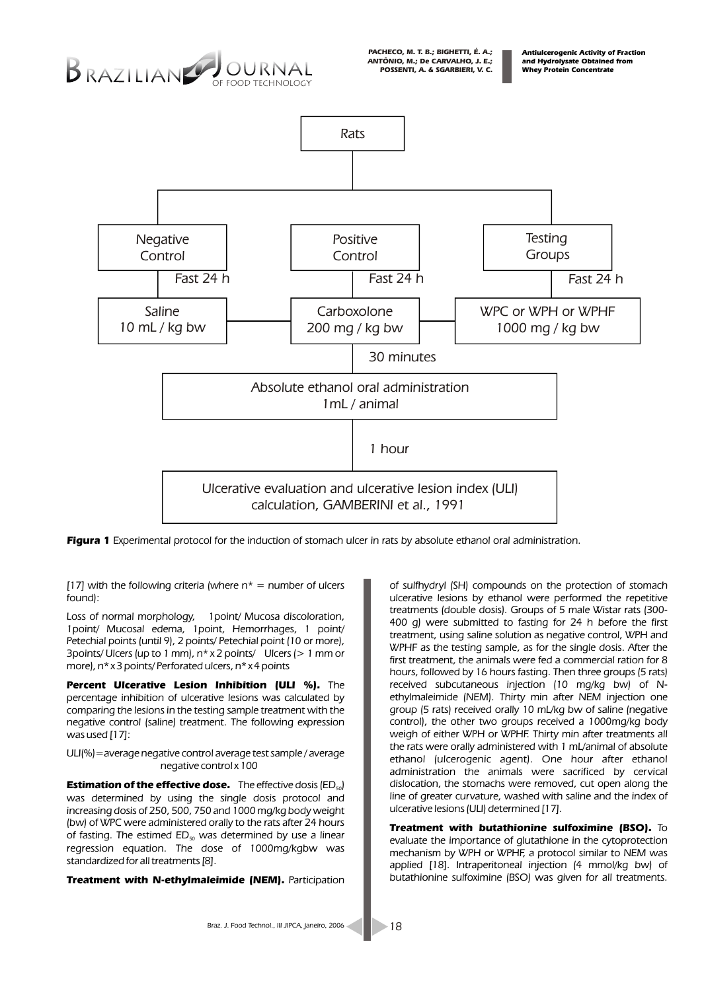# BRAZILIAN<sup>O</sup>



*Figura 1 Experimental protocol for the induction of stomach ulcer in rats by absolute ethanol oral administration.*

*[17] with the following criteria (where n\* = number of ulcers found):* 

*Loss of normal morphology, 1point/ Mucosa discoloration, 1point/ Mucosal edema, 1point, Hemorrhages, 1 point/ Petechial points (until 9), 2 points/ Petechial point (10 or more), 3points/ Ulcers (up to 1 mm), n\* x 2 points/ Ulcers (> 1 mm or more), n\* x 3 points/ Perforated ulcers, n\* x 4 points*

*Percent Ulcerative Lesion Inhibition (ULI %). The percentage inhibition of ulcerative lesions was calculated by comparing the lesions in the testing sample treatment with the negative control (saline) treatment. The following expression was used [17]:* 

*ULI(%)=average negative control average test sample / average negative control x 100*

*Estimation of the effective dose. The effective dosis (ED ) <sup>50</sup> was determined by using the single dosis protocol and increasing dosis of 250, 500, 750 and 1000 mg/kg body weight (bw) of WPC were administered orally to the rats after 24 hours*  of fasting. The estimed ED<sub>50</sub> was determined by use a linear *regression equation. The dose of 1000mg/kgbw was standardized for all treatments [8].*

*Treatment with N-ethylmaleimide (NEM). Participation* 

*of sulfhydryl (SH) compounds on the protection of stomach ulcerative lesions by ethanol were performed the repetitive treatments (double dosis). Groups of 5 male Wistar rats (300- 400 g) were submitted to fasting for 24 h before the first treatment, using saline solution as negative control, WPH and WPHF as the testing sample, as for the single dosis. After the first treatment, the animals were fed a commercial ration for 8 hours, followed by 16 hours fasting. Then three groups (5 rats) received subcutaneous injection (10 mg/kg bw) of Nethylmaleimide (NEM). Thirty min after NEM injection one group (5 rats) received orally 10 mL/kg bw of saline (negative control), the other two groups received a 1000mg/kg body weigh of either WPH or WPHF. Thirty min after treatments all the rats were orally administered with 1 mL/animal of absolute ethanol (ulcerogenic agent). One hour after ethanol administration the animals were sacrificed by cervical dislocation, the stomachs were removed, cut open along the line of greater curvature, washed with saline and the index of ulcerative lesions (ULI) determined [17].* 

*Treatment with butathionine sulfoximine (BSO). To evaluate the importance of glutathione in the cytoprotection mechanism by WPH or WPHF, a protocol similar to NEM was applied [18]. Intraperitoneal injection (4 mmol/kg bw) of butathionine sulfoximine (BSO) was given for all treatments.*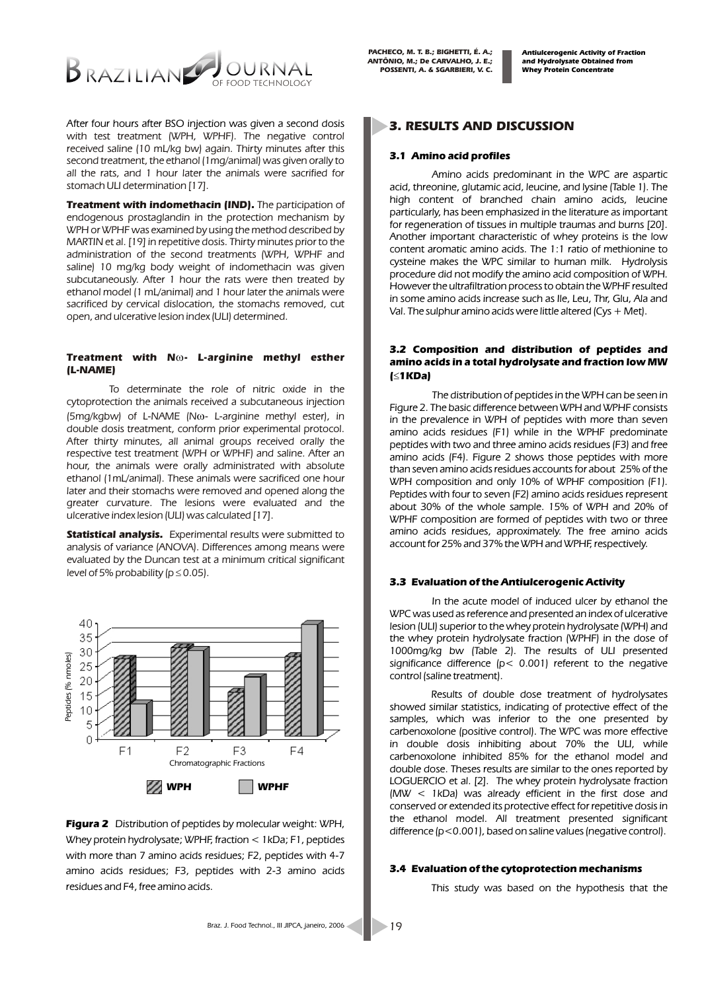

*Antiulcerogenic Activity of Fraction and Hydrolysate Obtained from Whey Protein Concentrate*

*After four hours after BSO injection was given a second dosis*  with test treatment (WPH, WPHF). The negative control *received saline (10 mL/kg bw) again. Thirty minutes after this second treatment, the ethanol (1mg/animal) was given orally to all the rats, and 1 hour later the animals were sacrified for stomach ULI determination [17].* 

*Treatment with indomethacin (IND). The participation of endogenous prostaglandin in the protection mechanism by WPH or WPHF was examined by using the method described by MARTIN et al. [19] in repetitive dosis. Thirty minutes prior to the administration of the second treatments (WPH, WPHF and saline) 10 mg/kg body weight of indomethacin was given subcutaneously. After 1 hour the rats were then treated by ethanol model (1 mL/animal) and 1 hour later the animals were sacrificed by cervical dislocation, the stomachs removed, cut open, and ulcerative lesion index (ULI) determined.* 

#### *Treatment with N - L-arginine methyl esther (L-NAME)*

*To determinate the role of nitric oxide in the cytoprotection the animals received a subcutaneous injection (5mg/kgbw) of L-NAME (N - L-arginine methyl ester), in double dosis treatment, conform prior experimental protocol. After thirty minutes, all animal groups received orally the respective test treatment (WPH or WPHF) and saline. After an hour, the animals were orally administrated with absolute ethanol (1mL/animal). These animals were sacrificed one hour later and their stomachs were removed and opened along the greater curvature. The lesions were evaluated and the ulcerative index lesion (ULI) was calculated [17].*

*Statistical analysis. Experimental results were submitted to analysis of variance (ANOVA). Differences among means were evaluated by the Duncan test at a minimum critical significant level of 5% probability (p 0.05).*



*Figura 2 Distribution of peptides by molecular weight: WPH, Whey protein hydrolysate; WPHF, fraction < 1kDa; F1, peptides with more than 7 amino acids residues; F2, peptides with 4-7 amino acids residues; F3, peptides with 2-3 amino acids residues and F4, free amino acids.*

# *3. RESULTS AND DISCUSSION*

#### *3.1 Amino acid profiles*

*Amino acids predominant in the WPC are aspartic acid, threonine, glutamic acid, leucine, and lysine (Table 1). The high content of branched chain amino acids, leucine particularly, has been emphasized in the literature as important for regeneration of tissues in multiple traumas and burns [20]. Another important characteristic of whey proteins is the low content aromatic amino acids. The 1:1 ratio of methionine to cysteine makes the WPC similar to human milk. Hydrolysis procedure did not modify the amino acid composition of WPH. However the ultrafiltration process to obtain the WPHF resulted in some amino acids increase such as Ile, Leu, Thr, Glu, Ala and Val. The sulphur amino acids were little altered (Cys + Met).*

#### *3.2 Composition and distribution of peptides and amino acids in a total hydrolysate and fraction low MW ( 1KDa)*

*The distribution of peptides in the WPH can be seen in Figure 2. The basic difference between WPH and WPHF consists in the prevalence in WPH of peptides with more than seven amino acids residues (F1) while in the WPHF predominate peptides with two and three amino acids residues (F3) and free amino acids (F4). Figure 2 shows those peptides with more than seven amino acids residues accounts for about 25% of the WPH composition and only 10% of WPHF composition (F1). Peptides with four to seven (F2) amino acids residues represent about 30% of the whole sample. 15% of WPH and 20% of WPHF composition are formed of peptides with two or three amino acids residues, approximately. The free amino acids account for 25% and 37% the WPH and WPHF, respectively.*

#### *3.3 Evaluation of the Antiulcerogenic Activity*

*In the acute model of induced ulcer by ethanol the WPC was used as reference and presented an index of ulcerative lesion (ULI) superior to the whey protein hydrolysate (WPH) and the whey protein hydrolysate fraction (WPHF) in the dose of 1000mg/kg bw (Table 2). The results of ULI presented significance difference (p< 0.001) referent to the negative control (saline treatment).*

*Results of double dose treatment of hydrolysates showed similar statistics, indicating of protective effect of the samples, which was inferior to the one presented by carbenoxolone (positive control). The WPC was more effective in double dosis inhibiting about 70% the ULI, while carbenoxolone inhibited 85% for the ethanol model and double dose. Theses results are similar to the ones reported by LOGUERCIO et al. [2]. The whey protein hydrolysate fraction (MW < 1kDa) was already efficient in the first dose and conserved or extended its protective effect for repetitive dosis in the ethanol model. All treatment presented significant difference (p<0.001), based on saline values (negative control).*

#### *3.4 Evaluation of the cytoprotection mechanisms*

*This study was based on the hypothesis that the* 

*19*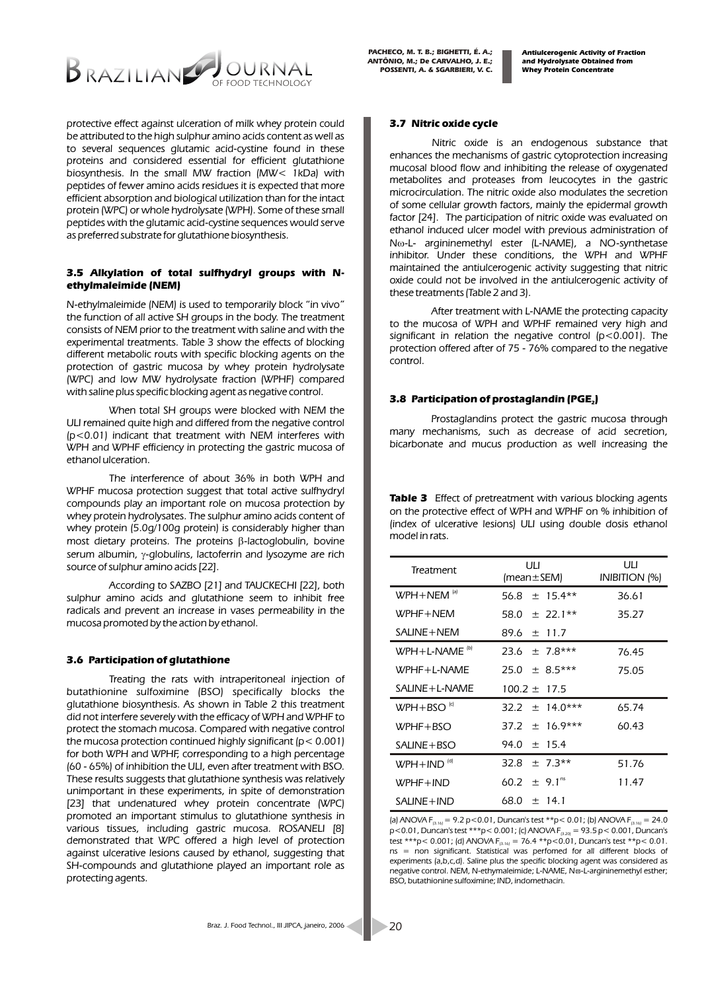

*protective effect against ulceration of milk whey protein could be attributed to the high sulphur amino acids content as well as to several sequences glutamic acid-cystine found in these proteins and considered essential for efficient glutathione biosynthesis. In the small MW fraction (MW< 1kDa) with peptides of fewer amino acids residues it is expected that more efficient absorption and biological utilization than for the intact protein (WPC) or whole hydrolysate (WPH). Some of these small peptides with the glutamic acid-cystine sequences would serve as preferred substrate for glutathione biosynthesis.* 

#### *3.5 Alkylation of total sulfhydryl groups with Nethylmaleimide (NEM)*

*N-ethylmaleimide (NEM) is used to temporarily block "in vivo" the function of all active SH groups in the body. The treatment consists of NEM prior to the treatment with saline and with the experimental treatments. Table 3 show the effects of blocking different metabolic routs with specific blocking agents on the protection of gastric mucosa by whey protein hydrolysate (WPC) and low MW hydrolysate fraction (WPHF) compared with saline plus specific blocking agent as negative control.*

*When total SH groups were blocked with NEM the ULI remained quite high and differed from the negative control (p<0.01) indicant that treatment with NEM interferes with WPH and WPHF efficiency in protecting the gastric mucosa of ethanol ulceration.*

*The interference of about 36% in both WPH and WPHF mucosa protection suggest that total active sulfhydryl compounds play an important role on mucosa protection by whey protein hydrolysates. The sulphur amino acids content of whey protein (5.0g/100g protein) is considerably higher than most dietary proteins. The proteins -lactoglobulin, bovine serum albumin, -globulins, lactoferrin and lysozyme are rich source of sulphur amino acids [22].* 

*According to SAZBO [21] and TAUCKECHI [22], both sulphur amino acids and glutathione seem to inhibit free radicals and prevent an increase in vases permeability in the mucosa promoted by the action by ethanol.* 

#### *3.6 Participation of glutathione*

*Treating the rats with intraperitoneal injection of butathionine sulfoximine (BSO) specifically blocks the glutathione biosynthesis. As shown in Table 2 this treatment did not interfere severely with the efficacy of WPH and WPHF to protect the stomach mucosa. Compared with negative control the mucosa protection continued highly significant (p< 0.001) for both WPH and WPHF, corresponding to a high percentage (60 - 65%) of inhibition the ULI, even after treatment with BSO. These results suggests that glutathione synthesis was relatively unimportant in these experiments, in spite of demonstration [23] that undenatured whey protein concentrate (WPC) promoted an important stimulus to glutathione synthesis in*  various tissues, including gastric mucosa. ROSANELI [8] *demonstrated that WPC offered a high level of protection against ulcerative lesions caused by ethanol, suggesting that SH-compounds and glutathione played an important role as protecting agents.*

#### *3.7 Nitric oxide cycle*

*Nitric oxide is an endogenous substance that enhances the mechanisms of gastric cytoprotection increasing mucosal blood flow and inhibiting the release of oxygenated metabolites and proteases from leucocytes in the gastric microcirculation. The nitric oxide also modulates the secretion of some cellular growth factors, mainly the epidermal growth factor [24]. The participation of nitric oxide was evaluated on ethanol induced ulcer model with previous administration of N -L- argininemethyl ester (L-NAME), a NO-synthetase inhibitor. Under these conditions, the WPH and WPHF maintained the antiulcerogenic activity suggesting that nitric oxide could not be involved in the antiulcerogenic activity of these treatments (Table 2 and 3).*

*After treatment with L-NAME the protecting capacity to the mucosa of WPH and WPHF remained very high and significant in relation the negative control (p<0.001). The protection offered after of 75 - 76% compared to the negative control.*

#### *3.8 Participation of prostaglandin (PGE ) <sup>2</sup>*

*Prostaglandins protect the gastric mucosa through many mechanisms, such as decrease of acid secretion, bicarbonate and mucus production as well increasing the* 

*Table 3 Effect of pretreatment with various blocking agents on the protective effect of WPH and WPHF on % inhibition of (index of ulcerative lesions) ULI using double dosis ethanol model in rats.*

| Treatment                     | ULI<br>(mean±SEM)            | ULI<br><b>INIBITION (%)</b> |
|-------------------------------|------------------------------|-----------------------------|
| $WPH + NEM$ <sup>(a)</sup>    | $56.8 \pm 15.4**$            | 36.61                       |
| $W$ PHF+NEM                   | 58.0 $\pm$ 22.1**            | 35.27                       |
| SALINE + NEM                  | 89.6 $\pm$ 11.7              |                             |
| $WPH + L-NAMF$ <sup>(b)</sup> | $23.6 \pm 7.8***$            | 76.45                       |
| WPHF+L-NAME                   | $25.0 \pm 8.5***$            | 75.05                       |
| SALINE+L-NAME                 | $100.2 \pm 17.5$             |                             |
| $WPH+BSO(c)$                  | $32.2 \pm 14.0***$           | 65.74                       |
| $W$ PHF+BSO                   | $37.2 \pm 16.9***$           | 60.43                       |
| SALINE+BSO                    | $94.0 \pm 15.4$              |                             |
| $WPH+IND$ <sup>(d)</sup>      | $32.8 \pm 7.3**$             | 51.76                       |
| WPHF+IND                      | 60.2 $\pm$ 9.1 <sup>ns</sup> | 11.47                       |
| SALINE+IND                    | 68.0<br>$±$ 14.1             |                             |

*(a) ANOVA F*<sub> $\beta,16$ </sub> = 9.2 p < 0.01, Duncan's test \*\*p < 0.01; *(b) ANOVA F*<sub> $\beta,16$ </sub> = 24.0  $p < 0.01$ , Duncan's test \*\*\* $p < 0.001$ ; (c) ANOVA  $F_{(3,20)} = 93.5$   $p < 0.001$ , Duncan's *test \*\*\*p< 0.001; (d) ANOVA*  $F_{\beta,16}$  *= 76.4 \*\*p<0.01, Duncan's test \*\*p< 0.01. ns = non significant. Statistical was perfomed for all different blocks of experiments (a,b,c,d). Saline plus the specific blocking agent was considered as negative control. NEM, N-ethymaleimide; L-NAME, N -L-argininemethyl esther; BSO, butathionine sulfoximine; IND, indomethacin.*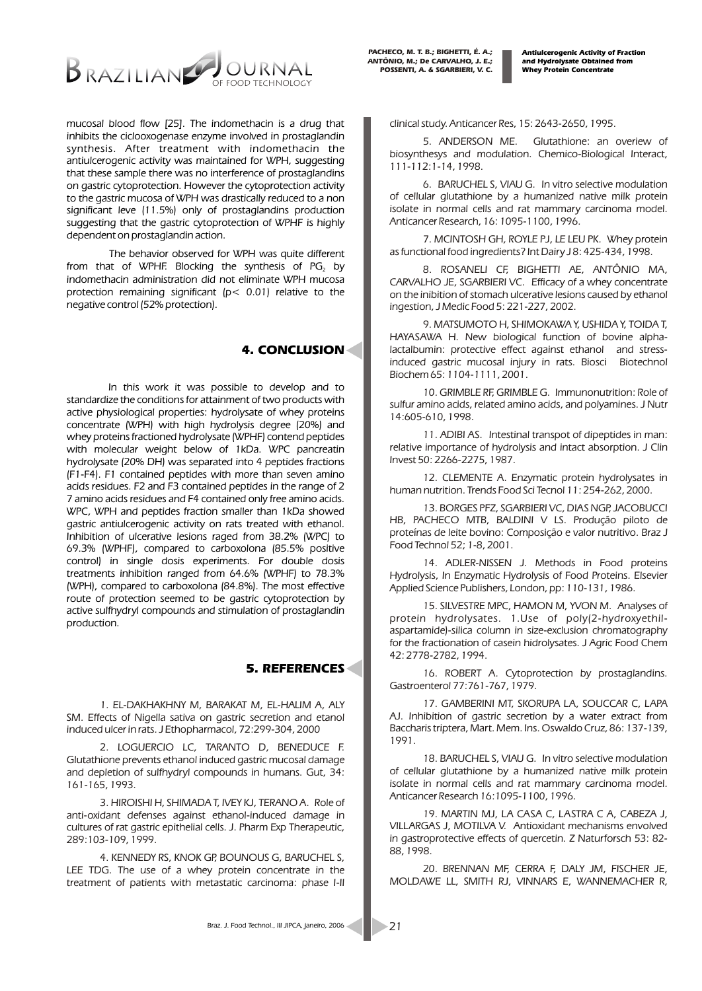

*Antiulcerogenic Activity of Fraction and Hydrolysate Obtained from Whey Protein Concentrate*



*mucosal blood flow [25]. The indomethacin is a drug that inhibits the ciclooxogenase enzyme involved in prostaglandin synthesis. After treatment with indomethacin the*  antiulcerogenic activity was maintained for WPH, suggesting *that these sample there was no interference of prostaglandins on gastric cytoprotection. However the cytoprotection activity to the gastric mucosa of WPH was drastically reduced to a non significant leve (11.5%) only of prostaglandins production suggesting that the gastric cytoprotection of WPHF is highly dependent on prostaglandin action.* 

*The behavior observed for WPH was quite different from that of WPHF. Blocking the synthesis of PG, by indomethacin administration did not eliminate WPH mucosa protection remaining significant (p< 0.01) relative to the negative control (52% protection).*

# *4. CONCLUSION*

*In this work it was possible to develop and to standardize the conditions for attainment of two products with active physiological properties: hydrolysate of whey proteins concentrate (WPH) with high hydrolysis degree (20%) and whey proteins fractioned hydrolysate (WPHF) contend peptides with molecular weight below of 1kDa. WPC pancreatin hydrolysate (20% DH) was separated into 4 peptides fractions (F1-F4). F1 contained peptides with more than seven amino acids residues. F2 and F3 contained peptides in the range of 2 7 amino acids residues and F4 contained only free amino acids. WPC, WPH and peptides fraction smaller than 1kDa showed gastric antiulcerogenic activity on rats treated with ethanol. Inhibition of ulcerative lesions raged from 38.2% (WPC) to 69.3% (WPHF), compared to carboxolona (85.5% positive control) in single dosis experiments. For double dosis treatments inhibition ranged from 64.6% (WPHF) to 78.3% (WPH), compared to carboxolona (84.8%). The most effective route of protection seemed to be gastric cytoprotection by active sulfhydryl compounds and stimulation of prostaglandin production.*

# *5. REFERENCES*

*1. EL-DAKHAKHNY M, BARAKAT M, EL-HALIM A, ALY*  SM. Effects of Nigella sativa on gastric secretion and etanol *induced ulcer in rats. J Ethopharmacol, 72:299-304, 2000*

*2. LOGUERCIO LC, TARANTO D, BENEDUCE F. Glutathione prevents ethanol induced gastric mucosal damage and depletion of sulfhydryl compounds in humans. Gut, 34: 161-165, 1993.*

*3. HIROISHI H, SHIMADA T, IVEY KJ, TERANO A. Role of anti-oxidant defenses against ethanol-induced damage in cultures of rat gastric epithelial cells. J. Pharm Exp Therapeutic, 289:103-109, 1999.*

*4. KENNEDY RS, KNOK GP, BOUNOUS G, BARUCHEL S, LEE TDG. The use of a whey protein concentrate in the treatment of patients with metastatic carcinoma: phase I-II*  *clinical study. Anticancer Res, 15: 2643-2650, 1995.*

*5. ANDERSON ME. Glutathione: an overiew of biosynthesys and modulation. Chemico-Biological Interact, 111-112:1-14, 1998.*

*6. BARUCHEL S, VIAU G. In vitro selective modulation of cellular glutathione by a humanized native milk protein isolate in normal cells and rat mammary carcinoma model. Anticancer Research, 16: 1095-1100, 1996.*

*7. MCINTOSH GH, ROYLE PJ, LE LEU PK. Whey protein as functional food ingredients? Int Dairy J 8: 425-434, 1998.*

*8. ROSANELI CF, BIGHETTI AE, ANTÔNIO MA, CARVALHO JE, SGARBIERI VC. Efficacy of a whey concentrate on the inibition of stomach ulcerative lesions caused by ethanol ingestion, J Medic Food 5: 221-227, 2002.*

*9. MATSUMOTO H, SHIMOKAWA Y, USHIDA Y, TOIDA T, HAYASAWA H. New biological function of bovine alphalactalbumin: protective effect against ethanol and stressinduced gastric mucosal injury in rats. Biosci Biotechnol Biochem 65: 1104-1111, 2001.*

*10. GRIMBLE RF, GRIMBLE G. Immunonutrition: Role of sulfur amino acids, related amino acids, and polyamines. J Nutr 14:605-610, 1998.*

*11. ADIBI AS. Intestinal transpot of dipeptides in man: relative importance of hydrolysis and intact absorption. J Clin Invest 50: 2266-2275, 1987.*

*12. CLEMENTE A. Enzymatic protein hydrolysates in human nutrition. Trends Food Sci Tecnol 11: 254-262, 2000.*

*13. BORGES PFZ, SGARBIERI VC, DIAS NGP, JACOBUCCI HB, PACHECO MTB, BALDINI V LS. Produção piloto de proteínas de leite bovino: Composição e valor nutritivo. Braz J Food Technol 52; 1-8, 2001.*

*14. ADLER-NISSEN J. Methods in Food proteins Hydrolysis, In Enzymatic Hydrolysis of Food Proteins. Elsevier Applied Science Publishers, London, pp: 110-131, 1986.*

*15. SILVESTRE MPC, HAMON M, YVON M. Analyses of protein hydrolysates. 1.Use of poly(2-hydroxyethilaspartamide)-silica column in size-exclusion chromatography for the fractionation of casein hidrolysates. J Agric Food Chem 42: 2778-2782, 1994.*

*16. ROBERT A. Cytoprotection by prostaglandins. Gastroenterol 77:761-767, 1979.*

*17. GAMBERINI MT, SKORUPA LA, SOUCCAR C, LAPA AJ. Inhibition of gastric secretion by a water extract from Baccharis triptera, Mart. Mem. Ins. Oswaldo Cruz, 86: 137-139, 1991.*

*18. BARUCHEL S, VIAU G. In vitro selective modulation of cellular glutathione by a humanized native milk protein isolate in normal cells and rat mammary carcinoma model. Anticancer Research 16:1095-1100, 1996.*

*19. MARTIN MJ, LA CASA C, LASTRA C A, CABEZA J, VILLARGAS J, MOTILVA V. Antioxidant mechanisms envolved in gastroprotective effects of quercetin. Z Naturforsch 53: 82- 88, 1998.*

*20. BRENNAN MF, CERRA F, DALY JM, FISCHER JE, MOLDAWE LL, SMITH RJ, VINNARS E, WANNEMACHER R,*